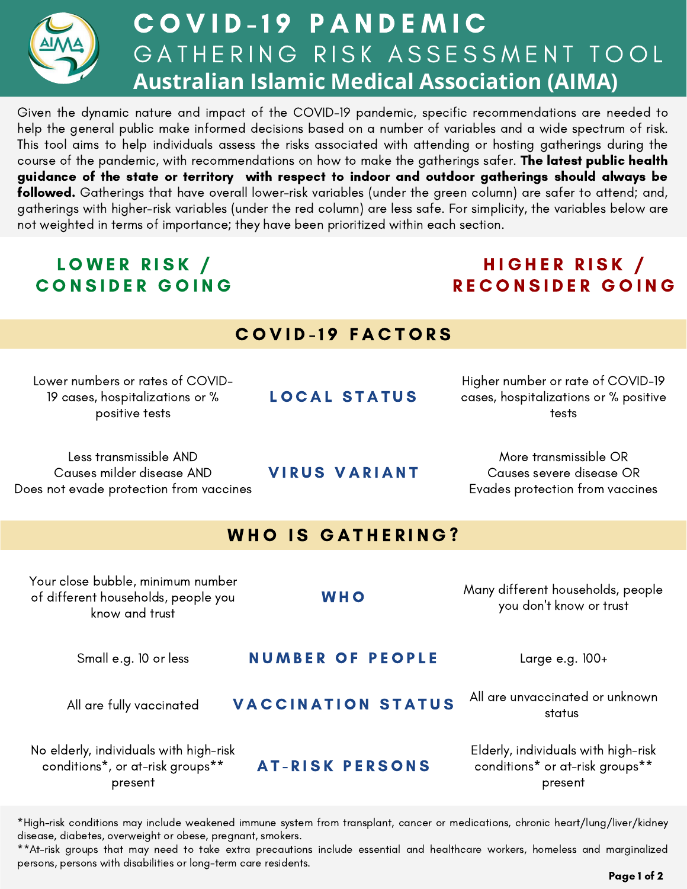

# COVID-19 PANDEMIC GATHERING RISK ASSESSMENT TOOL **Australian Islamic Medical Association (AIMA)**

Given the dynamic nature and impact of the COVID-19 pandemic, specific recommendations are needed to help the general public make informed decisions based on a number of variables and a wide spectrum of risk. This tool aims to help individuals assess the risks associated with attending or hosting gatherings during the course of the pandemic, with recommendations on how to make the gatherings safer. The latest public health guidance of the state or territory with respect to indoor and outdoor gatherings should always be followed. Gatherings that have overall lower-risk variables (under the green column) are safer to attend; and, gatherings with higher-risk variables (under the red column) are less safe. For simplicity, the variables below are not weighted in terms of importance; they have been prioritized within each section.

## LOWER RISK / CONSIDER GOING

## HIGHER RISK / RECONSIDER GOING

| <b>COVID-19 FACTORS</b> |  |
|-------------------------|--|
|-------------------------|--|

Lower numbers or rates of COVID-19 cases, hospitalizations or % positive tests

Less transmissible AND Causes milder disease AND Does not evade protection from vaccines LOCAL STATUS

Higher number or rate of COVID-19 cases, hospitalizations or % positive tests

More transmissible OR Causes severe disease OR Evades protection from vaccines

#### WHO IS GATHERING?

**VIRUS VARIANT** 

| Your close bubble, minimum number<br>of different households, people you<br>know and trust | <b>WHO</b>                | Many different households, people<br>you don't know or trust                      |
|--------------------------------------------------------------------------------------------|---------------------------|-----------------------------------------------------------------------------------|
| Small e.g. 10 or less                                                                      | <b>NUMBER OF PEOPLE</b>   | Large e.g. 100+                                                                   |
| All are fully vaccinated                                                                   | <b>VACCINATION STATUS</b> | All are unvaccinated or unknown<br>status                                         |
| No elderly, individuals with high-risk<br>conditions*, or at-risk groups**<br>present      | <b>AT-RISK PERSONS</b>    | Elderly, individuals with high-risk<br>conditions* or at-risk groups**<br>present |

\*High-risk conditions may include weakened immune system from transplant, cancer or medications, chronic heart/lung/liver/kidney disease, diabetes, overweight or obese, pregnant, smokers.

\*\*At-risk groups that may need to take extra precautions include essential and healthcare workers, homeless and marginalized persons, persons with disabilities or long-term care residents.